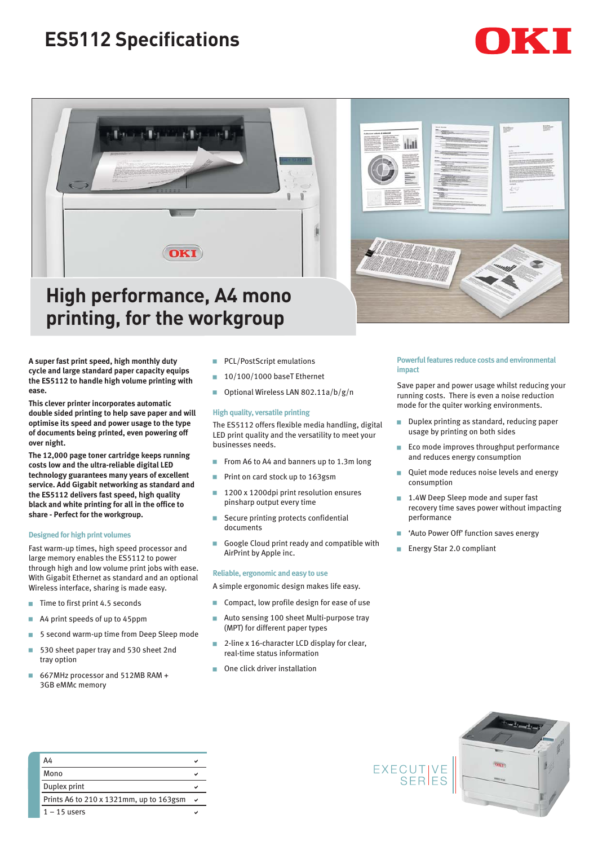# **ES5112 Specifications**





## **High performance, A4 mono printing, for the workgroup**

**A super fast print speed, high monthly duty cycle and large standard paper capacity equips the ES5112 to handle high volume printing with ease.** 

**This clever printer incorporates automatic double sided printing to help save paper and will optimise its speed and power usage to the type of documents being printed, even powering off over night.** 

**The 12,000 page toner cartridge keeps running costs low and the ultra-reliable digital LED technology guarantees many years of excellent service. Add Gigabit networking as standard and the ES5112 delivers fast speed, high quality black and white printing for all in the office to share - Perfect for the workgroup.**

#### **Designed for high print volumes**

Fast warm-up times, high speed processor and large memory enables the ES5112 to power through high and low volume print jobs with ease. With Gigabit Ethernet as standard and an optional Wireless interface, sharing is made easy.

- $\blacksquare$  Time to first print 4.5 seconds
- A4 print speeds of up to 45ppm
- 5 second warm-up time from Deep Sleep mode
- 530 sheet paper tray and 530 sheet 2nd tray option
- 667MHz processor and 512MB RAM + 3GB eMMc memory
- **PCL/PostScript emulations**
- 10/100/1000 baseT Ethernet
- Optional Wireless LAN 802.11a/b/g/n

### **High quality, versatile printing**

The ES5112 offers flexible media handling, digital LED print quality and the versatility to meet your businesses needs.

- From A6 to A4 and banners up to 1.3m long
- Print on card stock up to 163gsm
- 1200 x 1200dpi print resolution ensures pinsharp output every time ■ Secure printing protects confidential
- documents
- Google Cloud print ready and compatible with AirPrint by Apple inc.

#### **Reliable, ergonomic and easy to use**

A simple ergonomic design makes life easy.

- Compact, low profile design for ease of use
- Auto sensing 100 sheet Multi-purpose tray (MPT) for different paper types
- 2-line x 16-character LCD display for clear, real-time status information
- One click driver installation



#### **Powerful features reduce costs and environmental impact**

Save paper and power usage whilst reducing your running costs. There is even a noise reduction mode for the quiter working environments.

- Duplex printing as standard, reducing paper usage by printing on both sides
- **Eco mode improves throughput performance** and reduces energy consumption
- Quiet mode reduces noise levels and energy consumption
- 1.4W Deep Sleep mode and super fast recovery time saves power without impacting performance
- 'Auto Power Off' function saves energy
- Energy Star 2.0 compliant



|  | A4                                      |  |
|--|-----------------------------------------|--|
|  | Mono                                    |  |
|  | Duplex print                            |  |
|  | Prints A6 to 210 x 1321mm, up to 163gsm |  |
|  | $1 - 15$ users                          |  |